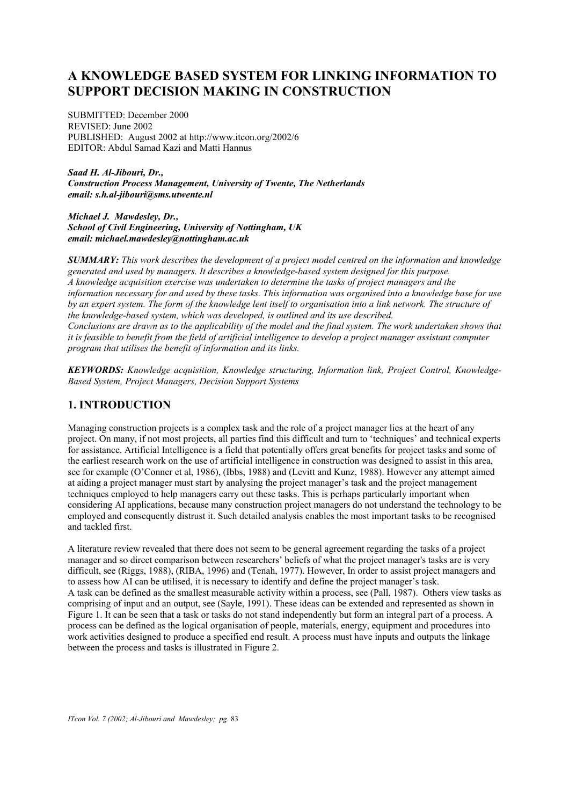# **A KNOWLEDGE BASED SYSTEM FOR LINKING INFORMATION TO SUPPORT DECISION MAKING IN CONSTRUCTION**

SUBMITTED: December 2000 REVISED: June 2002 PUBLISHED: August 2002 at http://www.itcon.org/2002/6 EDITOR: Abdul Samad Kazi and Matti Hannus

*Saad H. Al-Jibouri, Dr., Construction Process Management, University of Twente, The Netherlands email: s.h.al-jibouri@sms.utwente.nl* 

*Michael J. Mawdesley, Dr., School of Civil Engineering, University of Nottingham, UK email: michael.mawdesley@nottingham.ac.uk*

*SUMMARY: This work describes the development of a project model centred on the information and knowledge generated and used by managers. It describes a knowledge-based system designed for this purpose. A knowledge acquisition exercise was undertaken to determine the tasks of project managers and the information necessary for and used by these tasks. This information was organised into a knowledge base for use by an expert system. The form of the knowledge lent itself to organisation into a link network. The structure of the knowledge-based system, which was developed, is outlined and its use described. Conclusions are drawn as to the applicability of the model and the final system. The work undertaken shows that it is feasible to benefit from the field of artificial intelligence to develop a project manager assistant computer program that utilises the benefit of information and its links.*

*KEYWORDS: Knowledge acquisition, Knowledge structuring, Information link, Project Control, Knowledge-Based System, Project Managers, Decision Support Systems*

# **1. INTRODUCTION**

Managing construction projects is a complex task and the role of a project manager lies at the heart of any project. On many, if not most projects, all parties find this difficult and turn to 'techniques' and technical experts for assistance. Artificial Intelligence is a field that potentially offers great benefits for project tasks and some of the earliest research work on the use of artificial intelligence in construction was designed to assist in this area, see for example (O'Conner et al, 1986), (Ibbs, 1988) and (Levitt and Kunz, 1988). However any attempt aimed at aiding a project manager must start by analysing the project manager's task and the project management techniques employed to help managers carry out these tasks. This is perhaps particularly important when considering AI applications, because many construction project managers do not understand the technology to be employed and consequently distrust it. Such detailed analysis enables the most important tasks to be recognised and tackled first.

A literature review revealed that there does not seem to be general agreement regarding the tasks of a project manager and so direct comparison between researchers' beliefs of what the project manager's tasks are is very difficult, see (Riggs, 1988), (RIBA, 1996) and (Tenah, 1977). However, In order to assist project managers and to assess how AI can be utilised, it is necessary to identify and define the project manager's task. A task can be defined as the smallest measurable activity within a process, see (Pall, 1987). Others view tasks as comprising of input and an output, see (Sayle, 1991). These ideas can be extended and represented as shown in Figure 1. It can be seen that a task or tasks do not stand independently but form an integral part of a process. A process can be defined as the logical organisation of people, materials, energy, equipment and procedures into work activities designed to produce a specified end result. A process must have inputs and outputs the linkage between the process and tasks is illustrated in Figure 2.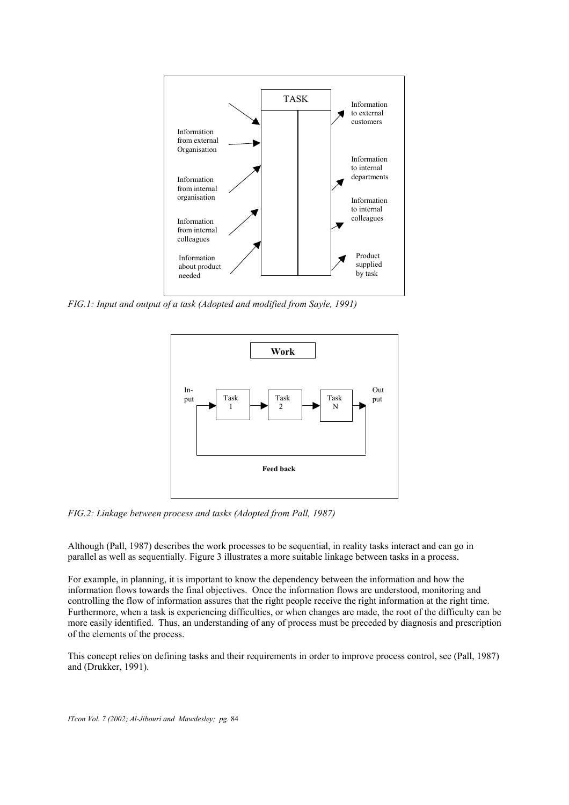

*FIG.1: Input and output of a task (Adopted and modified from Sayle, 1991)*



*FIG.2: Linkage between process and tasks (Adopted from Pall, 1987)*

Although (Pall, 1987) describes the work processes to be sequential, in reality tasks interact and can go in parallel as well as sequentially. Figure 3 illustrates a more suitable linkage between tasks in a process.

For example, in planning, it is important to know the dependency between the information and how the information flows towards the final objectives. Once the information flows are understood, monitoring and controlling the flow of information assures that the right people receive the right information at the right time. Furthermore, when a task is experiencing difficulties, or when changes are made, the root of the difficulty can be more easily identified. Thus, an understanding of any of process must be preceded by diagnosis and prescription of the elements of the process.

This concept relies on defining tasks and their requirements in order to improve process control, see (Pall, 1987) and (Drukker, 1991).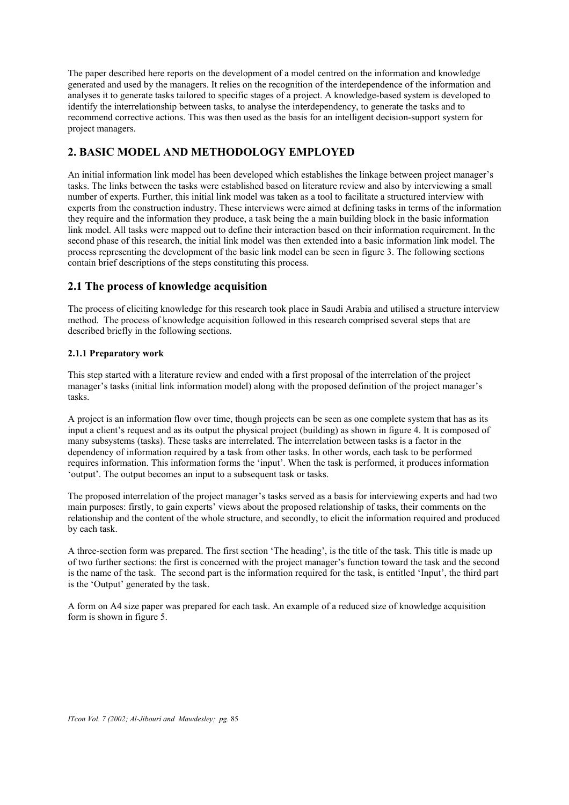The paper described here reports on the development of a model centred on the information and knowledge generated and used by the managers. It relies on the recognition of the interdependence of the information and analyses it to generate tasks tailored to specific stages of a project. A knowledge-based system is developed to identify the interrelationship between tasks, to analyse the interdependency, to generate the tasks and to recommend corrective actions. This was then used as the basis for an intelligent decision-support system for project managers.

# **2. BASIC MODEL AND METHODOLOGY EMPLOYED**

An initial information link model has been developed which establishes the linkage between project manager's tasks. The links between the tasks were established based on literature review and also by interviewing a small number of experts. Further, this initial link model was taken as a tool to facilitate a structured interview with experts from the construction industry. These interviews were aimed at defining tasks in terms of the information they require and the information they produce, a task being the a main building block in the basic information link model. All tasks were mapped out to define their interaction based on their information requirement. In the second phase of this research, the initial link model was then extended into a basic information link model. The process representing the development of the basic link model can be seen in figure 3. The following sections contain brief descriptions of the steps constituting this process.

## **2.1 The process of knowledge acquisition**

The process of eliciting knowledge for this research took place in Saudi Arabia and utilised a structure interview method. The process of knowledge acquisition followed in this research comprised several steps that are described briefly in the following sections.

### **2.1.1 Preparatory work**

This step started with a literature review and ended with a first proposal of the interrelation of the project manager's tasks (initial link information model) along with the proposed definition of the project manager's tasks.

A project is an information flow over time, though projects can be seen as one complete system that has as its input a client's request and as its output the physical project (building) as shown in figure 4. It is composed of many subsystems (tasks). These tasks are interrelated. The interrelation between tasks is a factor in the dependency of information required by a task from other tasks. In other words, each task to be performed requires information. This information forms the 'input'. When the task is performed, it produces information 'output'. The output becomes an input to a subsequent task or tasks.

The proposed interrelation of the project manager's tasks served as a basis for interviewing experts and had two main purposes: firstly, to gain experts' views about the proposed relationship of tasks, their comments on the relationship and the content of the whole structure, and secondly, to elicit the information required and produced by each task.

A three-section form was prepared. The first section 'The heading', is the title of the task. This title is made up of two further sections: the first is concerned with the project manager's function toward the task and the second is the name of the task. The second part is the information required for the task, is entitled 'Input', the third part is the 'Output' generated by the task.

A form on A4 size paper was prepared for each task. An example of a reduced size of knowledge acquisition form is shown in figure 5.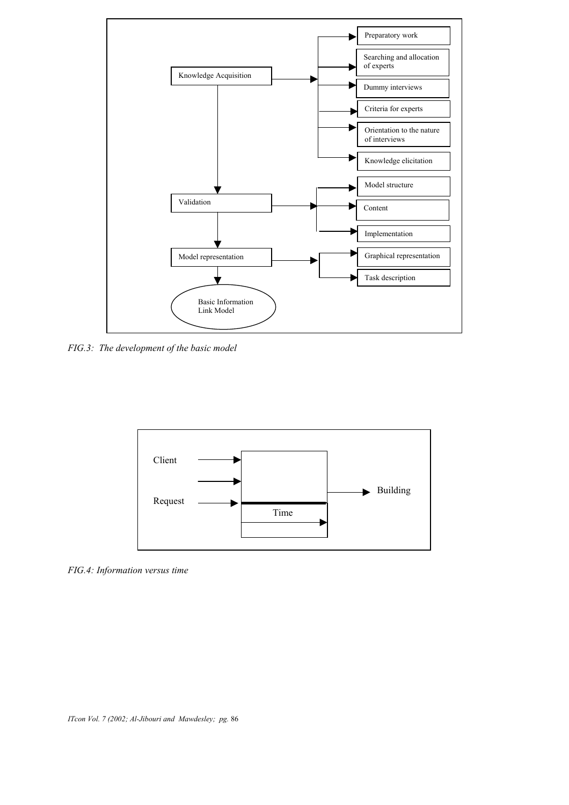

*FIG.3: The development of the basic model*



*FIG.4: Information versus time*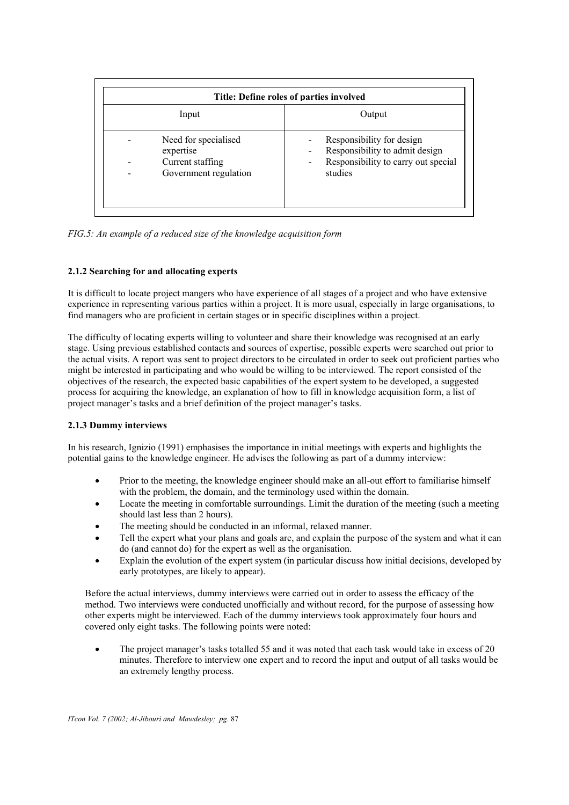|                                                                                | Title: Define roles of parties involved                                                                       |  |  |  |
|--------------------------------------------------------------------------------|---------------------------------------------------------------------------------------------------------------|--|--|--|
| Input                                                                          | Output                                                                                                        |  |  |  |
| Need for specialised<br>expertise<br>Current staffing<br>Government regulation | Responsibility for design<br>Responsibility to admit design<br>Responsibility to carry out special<br>studies |  |  |  |

*FIG.5: An example of a reduced size of the knowledge acquisition form*

### **2.1.2 Searching for and allocating experts**

It is difficult to locate project mangers who have experience of all stages of a project and who have extensive experience in representing various parties within a project. It is more usual, especially in large organisations, to find managers who are proficient in certain stages or in specific disciplines within a project.

The difficulty of locating experts willing to volunteer and share their knowledge was recognised at an early stage. Using previous established contacts and sources of expertise, possible experts were searched out prior to the actual visits. A report was sent to project directors to be circulated in order to seek out proficient parties who might be interested in participating and who would be willing to be interviewed. The report consisted of the objectives of the research, the expected basic capabilities of the expert system to be developed, a suggested process for acquiring the knowledge, an explanation of how to fill in knowledge acquisition form, a list of project manager's tasks and a brief definition of the project manager's tasks.

### **2.1.3 Dummy interviews**

In his research, Ignizio (1991) emphasises the importance in initial meetings with experts and highlights the potential gains to the knowledge engineer. He advises the following as part of a dummy interview:

- Prior to the meeting, the knowledge engineer should make an all-out effort to familiarise himself with the problem, the domain, and the terminology used within the domain.
- Locate the meeting in comfortable surroundings. Limit the duration of the meeting (such a meeting should last less than 2 hours).
- The meeting should be conducted in an informal, relaxed manner.
- Tell the expert what your plans and goals are, and explain the purpose of the system and what it can do (and cannot do) for the expert as well as the organisation.
- Explain the evolution of the expert system (in particular discuss how initial decisions, developed by early prototypes, are likely to appear).

Before the actual interviews, dummy interviews were carried out in order to assess the efficacy of the method. Two interviews were conducted unofficially and without record, for the purpose of assessing how other experts might be interviewed. Each of the dummy interviews took approximately four hours and covered only eight tasks. The following points were noted:

• The project manager's tasks totalled 55 and it was noted that each task would take in excess of 20 minutes. Therefore to interview one expert and to record the input and output of all tasks would be an extremely lengthy process.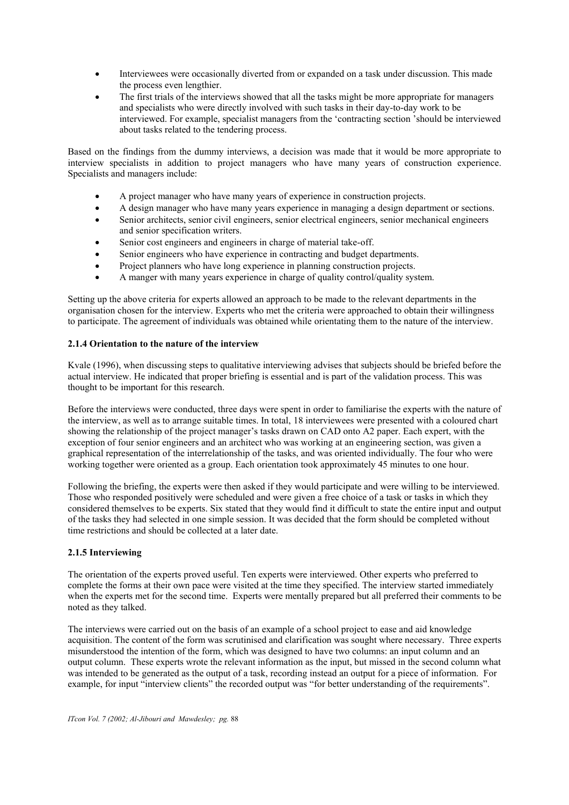- Interviewees were occasionally diverted from or expanded on a task under discussion. This made the process even lengthier.
- The first trials of the interviews showed that all the tasks might be more appropriate for managers and specialists who were directly involved with such tasks in their day-to-day work to be interviewed. For example, specialist managers from the 'contracting section 'should be interviewed about tasks related to the tendering process.

Based on the findings from the dummy interviews, a decision was made that it would be more appropriate to interview specialists in addition to project managers who have many years of construction experience. Specialists and managers include:

- A project manager who have many years of experience in construction projects.
- A design manager who have many years experience in managing a design department or sections.
- Senior architects, senior civil engineers, senior electrical engineers, senior mechanical engineers and senior specification writers.
- Senior cost engineers and engineers in charge of material take-off.
- Senior engineers who have experience in contracting and budget departments.
- Project planners who have long experience in planning construction projects.
- A manger with many years experience in charge of quality control/quality system.

Setting up the above criteria for experts allowed an approach to be made to the relevant departments in the organisation chosen for the interview. Experts who met the criteria were approached to obtain their willingness to participate. The agreement of individuals was obtained while orientating them to the nature of the interview.

#### **2.1.4 Orientation to the nature of the interview**

Kvale (1996), when discussing steps to qualitative interviewing advises that subjects should be briefed before the actual interview. He indicated that proper briefing is essential and is part of the validation process. This was thought to be important for this research.

Before the interviews were conducted, three days were spent in order to familiarise the experts with the nature of the interview, as well as to arrange suitable times. In total, 18 interviewees were presented with a coloured chart showing the relationship of the project manager's tasks drawn on CAD onto A2 paper. Each expert, with the exception of four senior engineers and an architect who was working at an engineering section, was given a graphical representation of the interrelationship of the tasks, and was oriented individually. The four who were working together were oriented as a group. Each orientation took approximately 45 minutes to one hour.

Following the briefing, the experts were then asked if they would participate and were willing to be interviewed. Those who responded positively were scheduled and were given a free choice of a task or tasks in which they considered themselves to be experts. Six stated that they would find it difficult to state the entire input and output of the tasks they had selected in one simple session. It was decided that the form should be completed without time restrictions and should be collected at a later date.

#### **2.1.5 Interviewing**

The orientation of the experts proved useful. Ten experts were interviewed. Other experts who preferred to complete the forms at their own pace were visited at the time they specified. The interview started immediately when the experts met for the second time. Experts were mentally prepared but all preferred their comments to be noted as they talked.

The interviews were carried out on the basis of an example of a school project to ease and aid knowledge acquisition. The content of the form was scrutinised and clarification was sought where necessary. Three experts misunderstood the intention of the form, which was designed to have two columns: an input column and an output column. These experts wrote the relevant information as the input, but missed in the second column what was intended to be generated as the output of a task, recording instead an output for a piece of information. For example, for input "interview clients" the recorded output was "for better understanding of the requirements".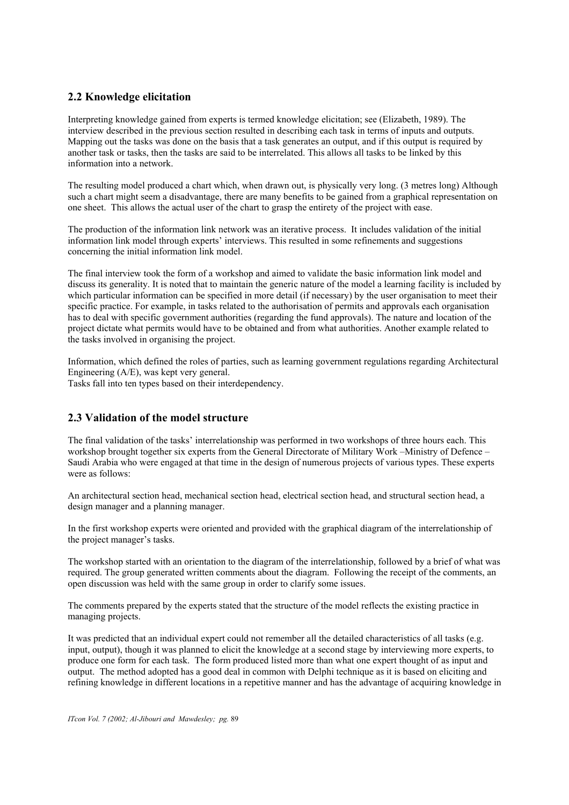## **2.2 Knowledge elicitation**

Interpreting knowledge gained from experts is termed knowledge elicitation; see (Elizabeth, 1989). The interview described in the previous section resulted in describing each task in terms of inputs and outputs. Mapping out the tasks was done on the basis that a task generates an output, and if this output is required by another task or tasks, then the tasks are said to be interrelated. This allows all tasks to be linked by this information into a network.

The resulting model produced a chart which, when drawn out, is physically very long. (3 metres long) Although such a chart might seem a disadvantage, there are many benefits to be gained from a graphical representation on one sheet. This allows the actual user of the chart to grasp the entirety of the project with ease.

The production of the information link network was an iterative process. It includes validation of the initial information link model through experts' interviews. This resulted in some refinements and suggestions concerning the initial information link model.

The final interview took the form of a workshop and aimed to validate the basic information link model and discuss its generality. It is noted that to maintain the generic nature of the model a learning facility is included by which particular information can be specified in more detail (if necessary) by the user organisation to meet their specific practice. For example, in tasks related to the authorisation of permits and approvals each organisation has to deal with specific government authorities (regarding the fund approvals). The nature and location of the project dictate what permits would have to be obtained and from what authorities. Another example related to the tasks involved in organising the project.

Information, which defined the roles of parties, such as learning government regulations regarding Architectural Engineering (A/E), was kept very general. Tasks fall into ten types based on their interdependency.

## **2.3 Validation of the model structure**

The final validation of the tasks' interrelationship was performed in two workshops of three hours each. This workshop brought together six experts from the General Directorate of Military Work –Ministry of Defence – Saudi Arabia who were engaged at that time in the design of numerous projects of various types. These experts were as follows:

An architectural section head, mechanical section head, electrical section head, and structural section head, a design manager and a planning manager.

In the first workshop experts were oriented and provided with the graphical diagram of the interrelationship of the project manager's tasks.

The workshop started with an orientation to the diagram of the interrelationship, followed by a brief of what was required. The group generated written comments about the diagram. Following the receipt of the comments, an open discussion was held with the same group in order to clarify some issues.

The comments prepared by the experts stated that the structure of the model reflects the existing practice in managing projects.

It was predicted that an individual expert could not remember all the detailed characteristics of all tasks (e.g. input, output), though it was planned to elicit the knowledge at a second stage by interviewing more experts, to produce one form for each task. The form produced listed more than what one expert thought of as input and output. The method adopted has a good deal in common with Delphi technique as it is based on eliciting and refining knowledge in different locations in a repetitive manner and has the advantage of acquiring knowledge in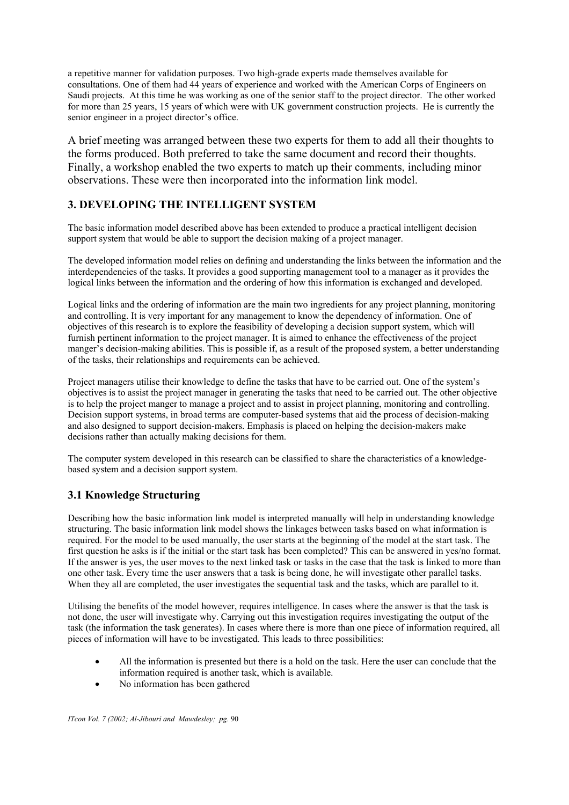a repetitive manner for validation purposes. Two high-grade experts made themselves available for consultations. One of them had 44 years of experience and worked with the American Corps of Engineers on Saudi projects. At this time he was working as one of the senior staff to the project director. The other worked for more than 25 years, 15 years of which were with UK government construction projects. He is currently the senior engineer in a project director's office.

A brief meeting was arranged between these two experts for them to add all their thoughts to the forms produced. Both preferred to take the same document and record their thoughts. Finally, a workshop enabled the two experts to match up their comments, including minor observations. These were then incorporated into the information link model.

# **3. DEVELOPING THE INTELLIGENT SYSTEM**

The basic information model described above has been extended to produce a practical intelligent decision support system that would be able to support the decision making of a project manager.

The developed information model relies on defining and understanding the links between the information and the interdependencies of the tasks. It provides a good supporting management tool to a manager as it provides the logical links between the information and the ordering of how this information is exchanged and developed.

Logical links and the ordering of information are the main two ingredients for any project planning, monitoring and controlling. It is very important for any management to know the dependency of information. One of objectives of this research is to explore the feasibility of developing a decision support system, which will furnish pertinent information to the project manager. It is aimed to enhance the effectiveness of the project manger's decision-making abilities. This is possible if, as a result of the proposed system, a better understanding of the tasks, their relationships and requirements can be achieved.

Project managers utilise their knowledge to define the tasks that have to be carried out. One of the system's objectives is to assist the project manager in generating the tasks that need to be carried out. The other objective is to help the project manger to manage a project and to assist in project planning, monitoring and controlling. Decision support systems, in broad terms are computer-based systems that aid the process of decision-making and also designed to support decision-makers. Emphasis is placed on helping the decision-makers make decisions rather than actually making decisions for them.

The computer system developed in this research can be classified to share the characteristics of a knowledgebased system and a decision support system.

# **3.1 Knowledge Structuring**

Describing how the basic information link model is interpreted manually will help in understanding knowledge structuring. The basic information link model shows the linkages between tasks based on what information is required. For the model to be used manually, the user starts at the beginning of the model at the start task. The first question he asks is if the initial or the start task has been completed? This can be answered in yes/no format. If the answer is yes, the user moves to the next linked task or tasks in the case that the task is linked to more than one other task. Every time the user answers that a task is being done, he will investigate other parallel tasks. When they all are completed, the user investigates the sequential task and the tasks, which are parallel to it.

Utilising the benefits of the model however, requires intelligence. In cases where the answer is that the task is not done, the user will investigate why. Carrying out this investigation requires investigating the output of the task (the information the task generates). In cases where there is more than one piece of information required, all pieces of information will have to be investigated. This leads to three possibilities:

- All the information is presented but there is a hold on the task. Here the user can conclude that the information required is another task, which is available.
- No information has been gathered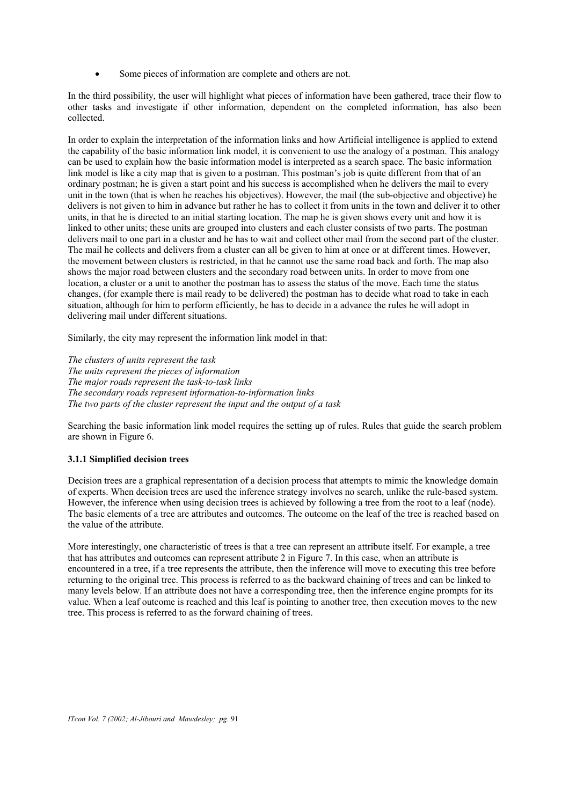• Some pieces of information are complete and others are not.

In the third possibility, the user will highlight what pieces of information have been gathered, trace their flow to other tasks and investigate if other information, dependent on the completed information, has also been collected.

In order to explain the interpretation of the information links and how Artificial intelligence is applied to extend the capability of the basic information link model, it is convenient to use the analogy of a postman. This analogy can be used to explain how the basic information model is interpreted as a search space. The basic information link model is like a city map that is given to a postman. This postman's job is quite different from that of an ordinary postman; he is given a start point and his success is accomplished when he delivers the mail to every unit in the town (that is when he reaches his objectives). However, the mail (the sub-objective and objective) he delivers is not given to him in advance but rather he has to collect it from units in the town and deliver it to other units, in that he is directed to an initial starting location. The map he is given shows every unit and how it is linked to other units; these units are grouped into clusters and each cluster consists of two parts. The postman delivers mail to one part in a cluster and he has to wait and collect other mail from the second part of the cluster. The mail he collects and delivers from a cluster can all be given to him at once or at different times. However, the movement between clusters is restricted, in that he cannot use the same road back and forth. The map also shows the major road between clusters and the secondary road between units. In order to move from one location, a cluster or a unit to another the postman has to assess the status of the move. Each time the status changes, (for example there is mail ready to be delivered) the postman has to decide what road to take in each situation, although for him to perform efficiently, he has to decide in a advance the rules he will adopt in delivering mail under different situations.

Similarly, the city may represent the information link model in that:

*The clusters of units represent the task The units represent the pieces of information The major roads represent the task-to-task links The secondary roads represent information-to-information links The two parts of the cluster represent the input and the output of a task* 

Searching the basic information link model requires the setting up of rules. Rules that guide the search problem are shown in Figure 6.

### **3.1.1 Simplified decision trees**

Decision trees are a graphical representation of a decision process that attempts to mimic the knowledge domain of experts. When decision trees are used the inference strategy involves no search, unlike the rule-based system. However, the inference when using decision trees is achieved by following a tree from the root to a leaf (node). The basic elements of a tree are attributes and outcomes. The outcome on the leaf of the tree is reached based on the value of the attribute.

More interestingly, one characteristic of trees is that a tree can represent an attribute itself. For example, a tree that has attributes and outcomes can represent attribute 2 in Figure 7. In this case, when an attribute is encountered in a tree, if a tree represents the attribute, then the inference will move to executing this tree before returning to the original tree. This process is referred to as the backward chaining of trees and can be linked to many levels below. If an attribute does not have a corresponding tree, then the inference engine prompts for its value. When a leaf outcome is reached and this leaf is pointing to another tree, then execution moves to the new tree. This process is referred to as the forward chaining of trees.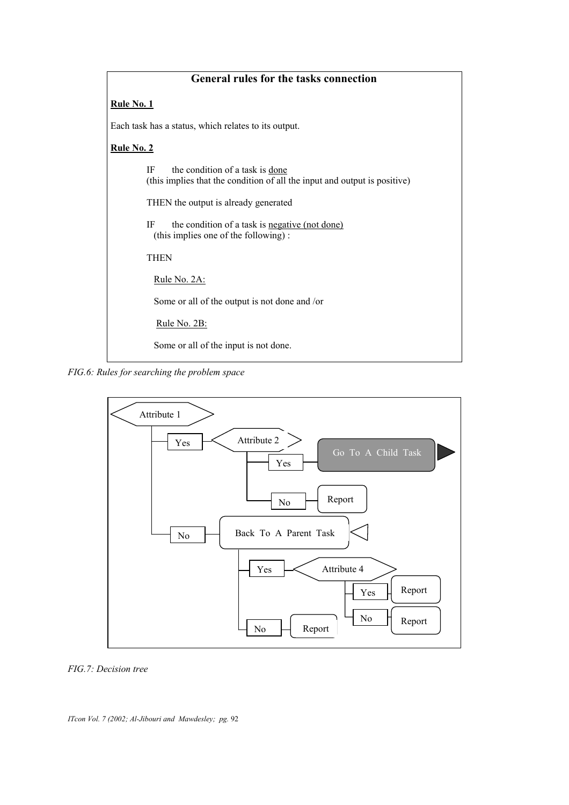# **General rules for the tasks connection**

### **Rule No. 1**

Each task has a status, which relates to its output.

### **Rule No. 2**

| the condition of a task is done<br>IF<br>(this implies that the condition of all the input and output is positive) |  |  |  |
|--------------------------------------------------------------------------------------------------------------------|--|--|--|
| THEN the output is already generated                                                                               |  |  |  |
| the condition of a task is <u>negative (not done)</u><br>IF<br>(this implies one of the following):                |  |  |  |
| <b>THEN</b>                                                                                                        |  |  |  |
| Rule No. 2A:                                                                                                       |  |  |  |
| Some or all of the output is not done and /or                                                                      |  |  |  |
| Rule No. 2B:                                                                                                       |  |  |  |
| Some or all of the input is not done.                                                                              |  |  |  |

*FIG.6: Rules for searching the problem space* 



### *FIG.7: Decision tree*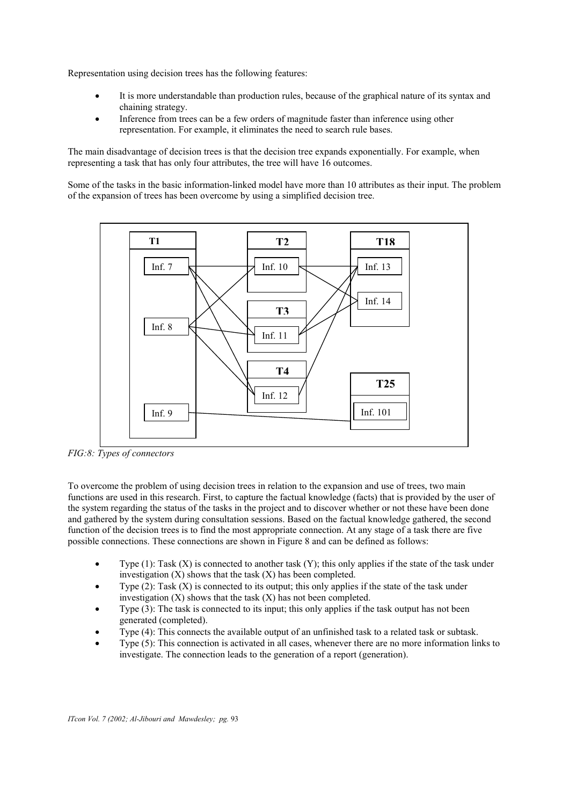Representation using decision trees has the following features:

- It is more understandable than production rules, because of the graphical nature of its syntax and chaining strategy.
- Inference from trees can be a few orders of magnitude faster than inference using other representation. For example, it eliminates the need to search rule bases.

The main disadvantage of decision trees is that the decision tree expands exponentially. For example, when representing a task that has only four attributes, the tree will have 16 outcomes.

Some of the tasks in the basic information-linked model have more than 10 attributes as their input. The problem of the expansion of trees has been overcome by using a simplified decision tree.



*FIG:8: Types of connectors* 

To overcome the problem of using decision trees in relation to the expansion and use of trees, two main functions are used in this research. First, to capture the factual knowledge (facts) that is provided by the user of the system regarding the status of the tasks in the project and to discover whether or not these have been done and gathered by the system during consultation sessions. Based on the factual knowledge gathered, the second function of the decision trees is to find the most appropriate connection. At any stage of a task there are five possible connections. These connections are shown in Figure 8 and can be defined as follows:

- Type  $(1)$ : Task  $(X)$  is connected to another task  $(Y)$ ; this only applies if the state of the task under investigation  $(X)$  shows that the task  $(X)$  has been completed.
- Type  $(2)$ : Task  $(X)$  is connected to its output; this only applies if the state of the task under investigation  $(X)$  shows that the task  $(X)$  has not been completed.
- Type (3): The task is connected to its input; this only applies if the task output has not been generated (completed).
- Type (4): This connects the available output of an unfinished task to a related task or subtask.
- Type (5): This connection is activated in all cases, whenever there are no more information links to investigate. The connection leads to the generation of a report (generation).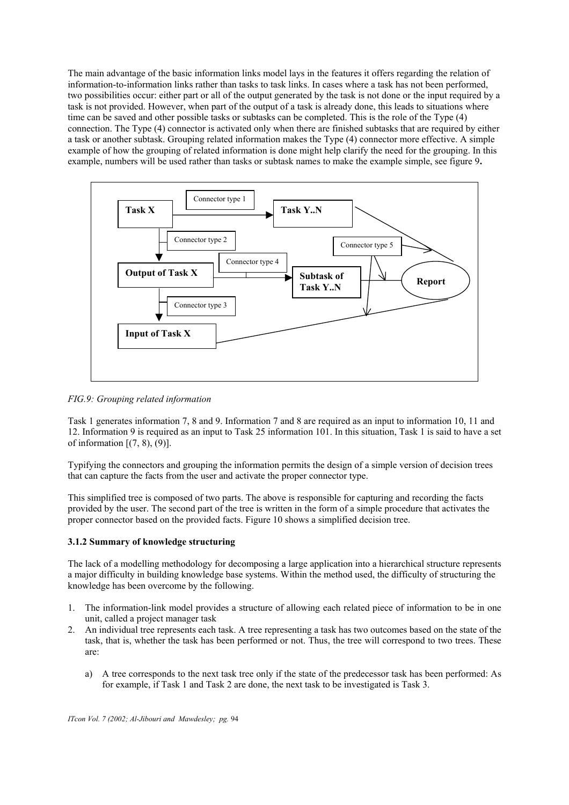The main advantage of the basic information links model lays in the features it offers regarding the relation of information-to-information links rather than tasks to task links. In cases where a task has not been performed, two possibilities occur: either part or all of the output generated by the task is not done or the input required by a task is not provided. However, when part of the output of a task is already done, this leads to situations where time can be saved and other possible tasks or subtasks can be completed. This is the role of the Type (4) connection. The Type (4) connector is activated only when there are finished subtasks that are required by either a task or another subtask. Grouping related information makes the Type (4) connector more effective. A simple example of how the grouping of related information is done might help clarify the need for the grouping. In this example, numbers will be used rather than tasks or subtask names to make the example simple, see figure 9**.**



*FIG.9: Grouping related information*

Task 1 generates information 7, 8 and 9. Information 7 and 8 are required as an input to information 10, 11 and 12. Information 9 is required as an input to Task 25 information 101. In this situation, Task 1 is said to have a set of information  $[(7, 8), (9)]$ .

Typifying the connectors and grouping the information permits the design of a simple version of decision trees that can capture the facts from the user and activate the proper connector type.

This simplified tree is composed of two parts. The above is responsible for capturing and recording the facts provided by the user. The second part of the tree is written in the form of a simple procedure that activates the proper connector based on the provided facts. Figure 10 shows a simplified decision tree.

### **3.1.2 Summary of knowledge structuring**

The lack of a modelling methodology for decomposing a large application into a hierarchical structure represents a major difficulty in building knowledge base systems. Within the method used, the difficulty of structuring the knowledge has been overcome by the following.

- 1. The information-link model provides a structure of allowing each related piece of information to be in one unit, called a project manager task
- 2. An individual tree represents each task. A tree representing a task has two outcomes based on the state of the task, that is, whether the task has been performed or not. Thus, the tree will correspond to two trees. These are:
	- a) A tree corresponds to the next task tree only if the state of the predecessor task has been performed: As for example, if Task 1 and Task 2 are done, the next task to be investigated is Task 3.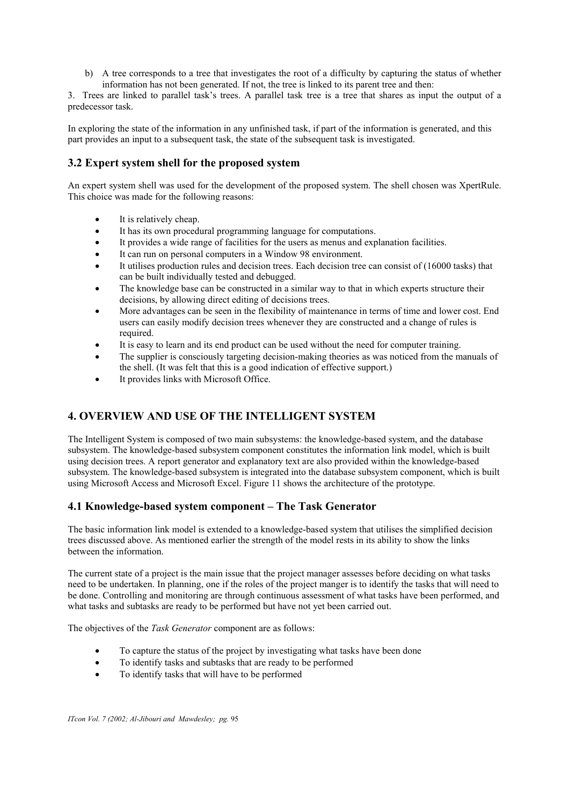b) A tree corresponds to a tree that investigates the root of a difficulty by capturing the status of whether information has not been generated. If not, the tree is linked to its parent tree and then:

3. Trees are linked to parallel task's trees. A parallel task tree is a tree that shares as input the output of a predecessor task.

In exploring the state of the information in any unfinished task, if part of the information is generated, and this part provides an input to a subsequent task, the state of the subsequent task is investigated.

# **3.2 Expert system shell for the proposed system**

An expert system shell was used for the development of the proposed system. The shell chosen was XpertRule. This choice was made for the following reasons:

- It is relatively cheap.
- It has its own procedural programming language for computations.
- It provides a wide range of facilities for the users as menus and explanation facilities.
- It can run on personal computers in a Window 98 environment.
- It utilises production rules and decision trees. Each decision tree can consist of (16000 tasks) that can be built individually tested and debugged.
- The knowledge base can be constructed in a similar way to that in which experts structure their decisions, by allowing direct editing of decisions trees.
- More advantages can be seen in the flexibility of maintenance in terms of time and lower cost. End users can easily modify decision trees whenever they are constructed and a change of rules is required.
- It is easy to learn and its end product can be used without the need for computer training.
- The supplier is consciously targeting decision-making theories as was noticed from the manuals of the shell. (It was felt that this is a good indication of effective support.)
- It provides links with Microsoft Office.

# **4. OVERVIEW AND USE OF THE INTELLIGENT SYSTEM**

The Intelligent System is composed of two main subsystems: the knowledge-based system, and the database subsystem. The knowledge-based subsystem component constitutes the information link model, which is built using decision trees. A report generator and explanatory text are also provided within the knowledge-based subsystem. The knowledge-based subsystem is integrated into the database subsystem component, which is built using Microsoft Access and Microsoft Excel. Figure 11 shows the architecture of the prototype.

### **4.1 Knowledge-based system component – The Task Generator**

The basic information link model is extended to a knowledge-based system that utilises the simplified decision trees discussed above. As mentioned earlier the strength of the model rests in its ability to show the links between the information.

The current state of a project is the main issue that the project manager assesses before deciding on what tasks need to be undertaken. In planning, one if the roles of the project manger is to identify the tasks that will need to be done. Controlling and monitoring are through continuous assessment of what tasks have been performed, and what tasks and subtasks are ready to be performed but have not yet been carried out.

The objectives of the *Task Generator* component are as follows:

- To capture the status of the project by investigating what tasks have been done
- To identify tasks and subtasks that are ready to be performed
- To identify tasks that will have to be performed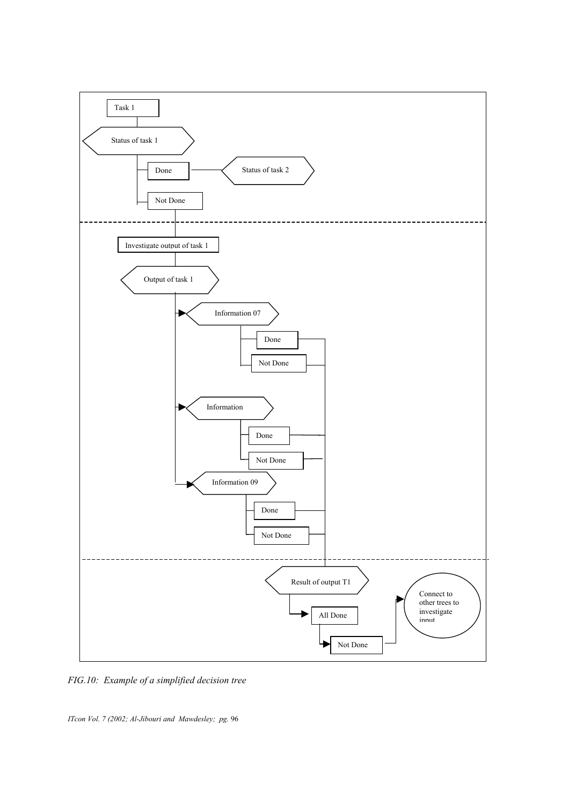

*FIG.10: Example of a simplified decision tree*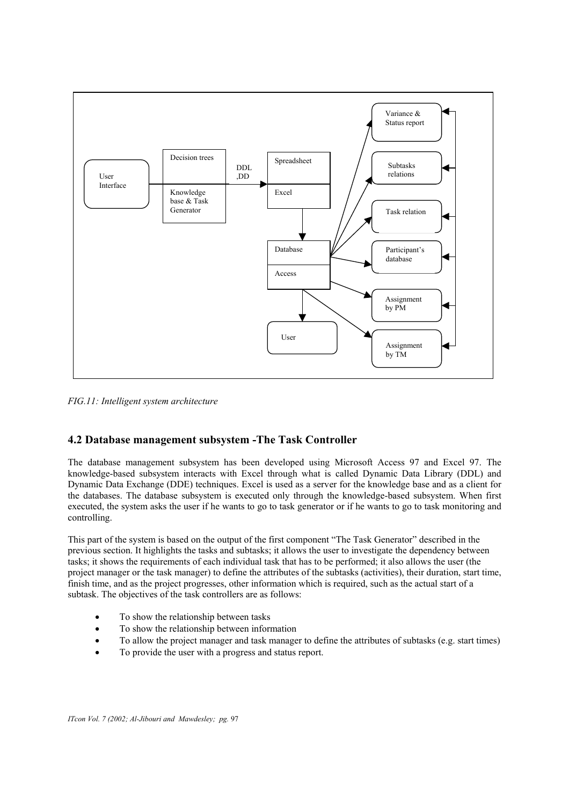

*FIG.11: Intelligent system architecture* 

## **4.2 Database management subsystem -The Task Controller**

The database management subsystem has been developed using Microsoft Access 97 and Excel 97. The knowledge-based subsystem interacts with Excel through what is called Dynamic Data Library (DDL) and Dynamic Data Exchange (DDE) techniques. Excel is used as a server for the knowledge base and as a client for the databases. The database subsystem is executed only through the knowledge-based subsystem. When first executed, the system asks the user if he wants to go to task generator or if he wants to go to task monitoring and controlling.

This part of the system is based on the output of the first component "The Task Generator" described in the previous section. It highlights the tasks and subtasks; it allows the user to investigate the dependency between tasks; it shows the requirements of each individual task that has to be performed; it also allows the user (the project manager or the task manager) to define the attributes of the subtasks (activities), their duration, start time, finish time, and as the project progresses, other information which is required, such as the actual start of a subtask. The objectives of the task controllers are as follows:

- To show the relationship between tasks
- To show the relationship between information
- To allow the project manager and task manager to define the attributes of subtasks (e.g. start times)
- To provide the user with a progress and status report.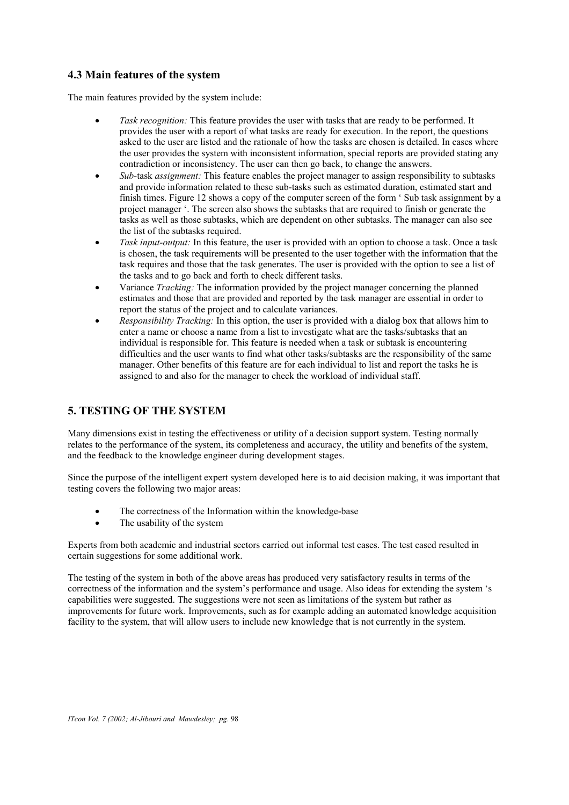## **4.3 Main features of the system**

The main features provided by the system include:

- *Task recognition:* This feature provides the user with tasks that are ready to be performed. It provides the user with a report of what tasks are ready for execution. In the report, the questions asked to the user are listed and the rationale of how the tasks are chosen is detailed. In cases where the user provides the system with inconsistent information, special reports are provided stating any contradiction or inconsistency. The user can then go back, to change the answers.
- *Sub-*task *assignment:* This feature enables the project manager to assign responsibility to subtasks and provide information related to these sub-tasks such as estimated duration, estimated start and finish times. Figure 12 shows a copy of the computer screen of the form ' Sub task assignment by a project manager '. The screen also shows the subtasks that are required to finish or generate the tasks as well as those subtasks, which are dependent on other subtasks. The manager can also see the list of the subtasks required.
- *Task input-output:* In this feature, the user is provided with an option to choose a task. Once a task is chosen, the task requirements will be presented to the user together with the information that the task requires and those that the task generates. The user is provided with the option to see a list of the tasks and to go back and forth to check different tasks.
- Variance *Tracking:* The information provided by the project manager concerning the planned estimates and those that are provided and reported by the task manager are essential in order to report the status of the project and to calculate variances.
- *Responsibility Tracking:* In this option, the user is provided with a dialog box that allows him to enter a name or choose a name from a list to investigate what are the tasks/subtasks that an individual is responsible for. This feature is needed when a task or subtask is encountering difficulties and the user wants to find what other tasks/subtasks are the responsibility of the same manager. Other benefits of this feature are for each individual to list and report the tasks he is assigned to and also for the manager to check the workload of individual staff.

## **5. TESTING OF THE SYSTEM**

Many dimensions exist in testing the effectiveness or utility of a decision support system. Testing normally relates to the performance of the system, its completeness and accuracy, the utility and benefits of the system, and the feedback to the knowledge engineer during development stages.

Since the purpose of the intelligent expert system developed here is to aid decision making, it was important that testing covers the following two major areas:

- The correctness of the Information within the knowledge-base
- The usability of the system

Experts from both academic and industrial sectors carried out informal test cases. The test cased resulted in certain suggestions for some additional work.

The testing of the system in both of the above areas has produced very satisfactory results in terms of the correctness of the information and the system's performance and usage. Also ideas for extending the system 's capabilities were suggested. The suggestions were not seen as limitations of the system but rather as improvements for future work. Improvements, such as for example adding an automated knowledge acquisition facility to the system, that will allow users to include new knowledge that is not currently in the system.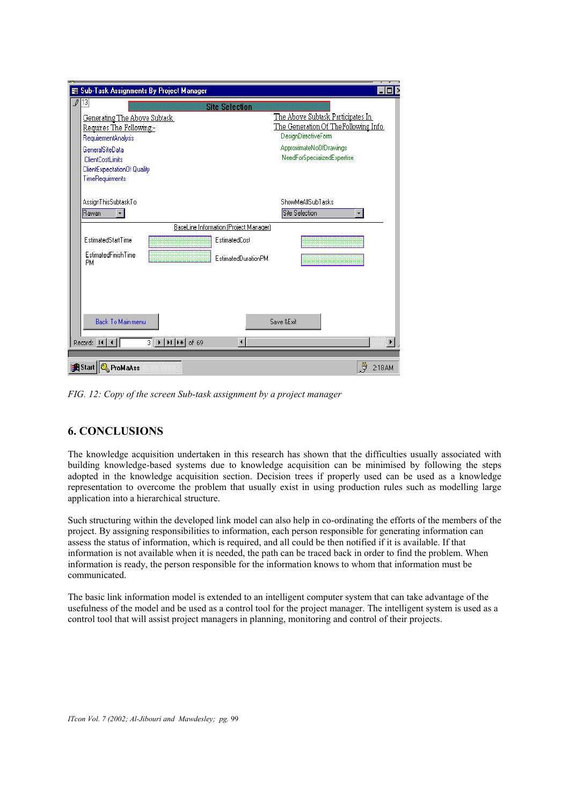| 图 Sub-Task Assignments By Project Manager   |                                        |                                                                   |                     |                                       |  |  |
|---------------------------------------------|----------------------------------------|-------------------------------------------------------------------|---------------------|---------------------------------------|--|--|
|                                             | 13 <br><b>Site Selection</b>           |                                                                   |                     |                                       |  |  |
|                                             | <b>Generating The Above Subtask</b>    |                                                                   |                     | The Above Subtask Participates In     |  |  |
|                                             | Requires The Following:-               |                                                                   |                     | The Generation Of The Following Info. |  |  |
|                                             | RequirementAnalysis                    |                                                                   |                     | <b>DesignDirectiveForm</b>            |  |  |
|                                             | GeneralSiteData                        |                                                                   |                     | ApproximateNoOfDrawings               |  |  |
|                                             | <b>ClientCostLimits</b>                |                                                                   |                     | NeedForSpecializedExpertise           |  |  |
|                                             | ClientExpectationOf Quality            |                                                                   |                     |                                       |  |  |
|                                             | TimeRequirments                        |                                                                   |                     |                                       |  |  |
|                                             |                                        |                                                                   |                     |                                       |  |  |
|                                             | AssignThisSubtaskTo                    |                                                                   |                     | <b>ShowMeAllSubTasks</b>              |  |  |
|                                             | <b>Rawan</b><br>$\mathbf{r}$           |                                                                   |                     | <b>Site Selection</b>                 |  |  |
|                                             | BaseLine Information (Project Manager) |                                                                   |                     |                                       |  |  |
|                                             | EstimatedStartTime                     |                                                                   | EstimatedCosl       |                                       |  |  |
|                                             | EstimatedFinishTime<br><b>PM</b>       |                                                                   | EstimatedDurationPM |                                       |  |  |
|                                             |                                        |                                                                   |                     |                                       |  |  |
|                                             |                                        |                                                                   |                     |                                       |  |  |
|                                             |                                        |                                                                   |                     |                                       |  |  |
|                                             | Back To Main menu                      |                                                                   |                     | Save &Exit                            |  |  |
|                                             |                                        |                                                                   |                     |                                       |  |  |
|                                             | Record: $H \mid 1$                     | $3$ $\rightarrow$ $\rightarrow$ $\rightarrow$ $\rightarrow$ of 69 | $\left  \right $    |                                       |  |  |
|                                             |                                        |                                                                   |                     |                                       |  |  |
| Ĵ<br><b>R</b> Start   & ProMaAss<br>2:18 AM |                                        |                                                                   |                     |                                       |  |  |

*FIG. 12: Copy of the screen Sub-task assignment by a project manager* 

# **6. CONCLUSIONS**

The knowledge acquisition undertaken in this research has shown that the difficulties usually associated with building knowledge-based systems due to knowledge acquisition can be minimised by following the steps adopted in the knowledge acquisition section. Decision trees if properly used can be used as a knowledge representation to overcome the problem that usually exist in using production rules such as modelling large application into a hierarchical structure.

Such structuring within the developed link model can also help in co-ordinating the efforts of the members of the project. By assigning responsibilities to information, each person responsible for generating information can assess the status of information, which is required, and all could be then notified if it is available. If that information is not available when it is needed, the path can be traced back in order to find the problem. When information is ready, the person responsible for the information knows to whom that information must be communicated.

The basic link information model is extended to an intelligent computer system that can take advantage of the usefulness of the model and be used as a control tool for the project manager. The intelligent system is used as a control tool that will assist project managers in planning, monitoring and control of their projects.